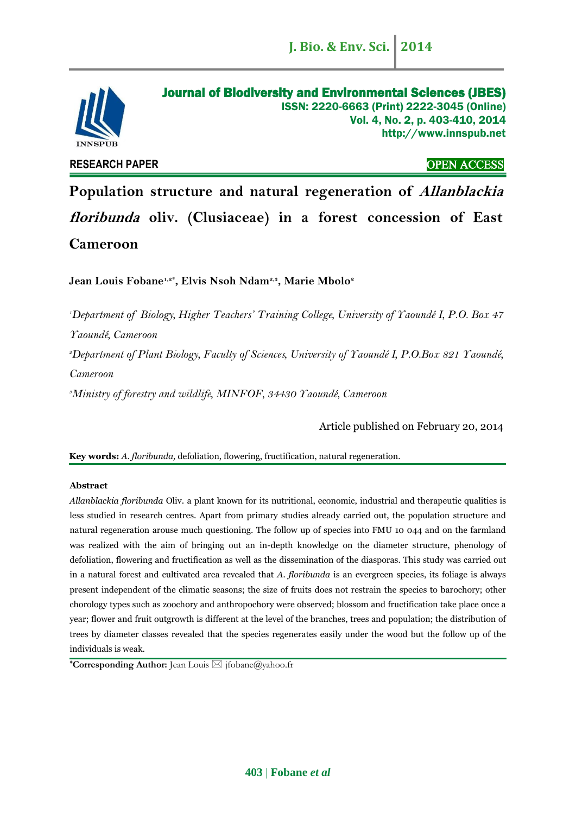

# Journal of Biodiversity and Environmental Sciences (JBES) ISSN: 2220-6663 (Print) 2222-3045 (Online) Vol. 4, No. 2, p. 403-410, 2014 http://www.innspub.net

**RESEARCH PAPER** OPEN ACCESS

**Population structure and natural regeneration of Allanblackia floribunda oliv. (Clusiaceae) in a forest concession of East Cameroon**

**Jean Louis Fobane1,2\* , Elvis Nsoh Ndam2,3, Marie Mbolo<sup>2</sup>**

*<sup>1</sup>Department of Biology, Higher Teachers' Training College, University of Yaoundé I, P.O. Box 47 Yaoundé, Cameroon <sup>2</sup>Department of Plant Biology, Faculty of Sciences, University of Yaoundé I, P.O.Box 821 Yaoundé, Cameroon <sup>3</sup>Ministry of forestry and wildlife, MINFOF, 34430 Yaoundé, Cameroon*

Article published on February 20, 2014

**Key words:** *A. floribunda,* defoliation, flowering, fructification, natural regeneration.

# **Abstract**

*Allanblackia floribunda* Oliv. a plant known for its nutritional, economic, industrial and therapeutic qualities is less studied in research centres. Apart from primary studies already carried out, the population structure and natural regeneration arouse much questioning. The follow up of species into FMU 10 044 and on the farmland was realized with the aim of bringing out an in-depth knowledge on the diameter structure, phenology of defoliation, flowering and fructification as well as the dissemination of the diasporas. This study was carried out in a natural forest and cultivated area revealed that *A. floribunda* is an evergreen species, its foliage is always present independent of the climatic seasons; the size of fruits does not restrain the species to barochory; other chorology types such as zoochory and anthropochory were observed; blossom and fructification take place once a year; flower and fruit outgrowth is different at the level of the branches, trees and population; the distribution of trees by diameter classes revealed that the species regenerates easily under the wood but the follow up of the individuals is weak.

**\*Corresponding Author:** Jean Louis jfobane@yahoo.fr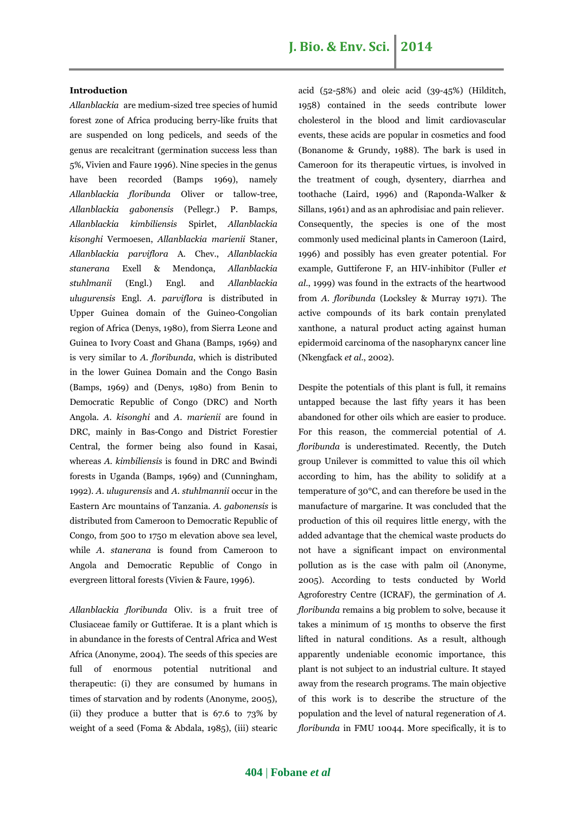# **Introduction**

*Allanblackia* are medium-sized tree species of humid forest zone of Africa producing berry-like fruits that are suspended on long pedicels, and seeds of the genus are recalcitrant (germination success less than 5%, Vivien and Faure 1996). Nine species in the genus have been recorded (Bamps 1969), namely *Allanblackia floribunda* Oliver or tallow-tree, *Allanblackia gabonensis* (Pellegr.) P. Bamps, *Allanblackia kimbiliensis* Spirlet, *Allanblackia kisonghi* Vermoesen, *Allanblackia marienii* Staner, *Allanblackia parviflora* A. Chev., *Allanblackia stanerana* Exell & Mendonça, *Allanblackia stuhlmanii* (Engl.) Engl. and *Allanblackia ulugurensis* Engl. *A*. *parviflora* is distributed in Upper Guinea domain of the Guineo-Congolian region of Africa (Denys, 1980), from Sierra Leone and Guinea to Ivory Coast and Ghana (Bamps, 1969) and is very similar to *A*. *floribunda*, which is distributed in the lower Guinea Domain and the Congo Basin (Bamps, 1969) and (Denys, 1980) from Benin to Democratic Republic of Congo (DRC) and North Angola. *A*. *kisonghi* and *A*. *marienii* are found in DRC, mainly in Bas-Congo and District Forestier Central, the former being also found in Kasai, whereas *A*. *kimbiliensis* is found in DRC and Bwindi forests in Uganda (Bamps, 1969) and (Cunningham, 1992). *A*. *ulugurensis* and *A*. *stuhlmannii* occur in the Eastern Arc mountains of Tanzania. *A*. *gabonensis* is distributed from Cameroon to Democratic Republic of Congo, from 500 to 1750 m elevation above sea level, while *A*. *stanerana* is found from Cameroon to Angola and Democratic Republic of Congo in evergreen littoral forests (Vivien & Faure, 1996).

*Allanblackia floribunda* Oliv. is a fruit tree of Clusiaceae family or Guttiferae. It is a plant which is in abundance in the forests of Central Africa and West Africa (Anonyme, 2004). The seeds of this species are full of enormous potential nutritional and therapeutic: (i) they are consumed by humans in times of starvation and by rodents (Anonyme, 2005), (ii) they produce a butter that is 67.6 to 73% by weight of a seed (Foma & Abdala, 1985), (iii) stearic acid (52-58%) and oleic acid (39-45%) (Hilditch, 1958) contained in the seeds contribute lower cholesterol in the blood and limit cardiovascular events, these acids are popular in cosmetics and food (Bonanome & Grundy, 1988). The bark is used in Cameroon for its therapeutic virtues, is involved in the treatment of cough, dysentery, diarrhea and toothache (Laird, 1996) and (Raponda-Walker & Sillans, 1961) and as an aphrodisiac and pain reliever. Consequently, the species is one of the most commonly used medicinal plants in Cameroon (Laird, 1996) and possibly has even greater potential. For example, Guttiferone F, an HIV-inhibitor (Fuller *et al*., 1999) was found in the extracts of the heartwood from *A*. *floribunda* (Locksley & Murray 1971). The active compounds of its bark contain prenylated xanthone, a natural product acting against human epidermoid carcinoma of the nasopharynx cancer line (Nkengfack *et al*., 2002).

Despite the potentials of this plant is full, it remains untapped because the last fifty years it has been abandoned for other oils which are easier to produce. For this reason, the commercial potential of *A. floribunda* is underestimated. Recently, the Dutch group Unilever is committed to value this oil which according to him, has the ability to solidify at a temperature of 30°C, and can therefore be used in the manufacture of margarine. It was concluded that the production of this oil requires little energy, with the added advantage that the chemical waste products do not have a significant impact on environmental pollution as is the case with palm oil (Anonyme, 2005). According to tests conducted by World Agroforestry Centre (ICRAF), the germination of *A. floribunda* remains a big problem to solve, because it takes a minimum of 15 months to observe the first lifted in natural conditions. As a result, although apparently undeniable economic importance, this plant is not subject to an industrial culture. It stayed away from the research programs. The main objective of this work is to describe the structure of the population and the level of natural regeneration of *A. floribunda* in FMU 10044. More specifically, it is to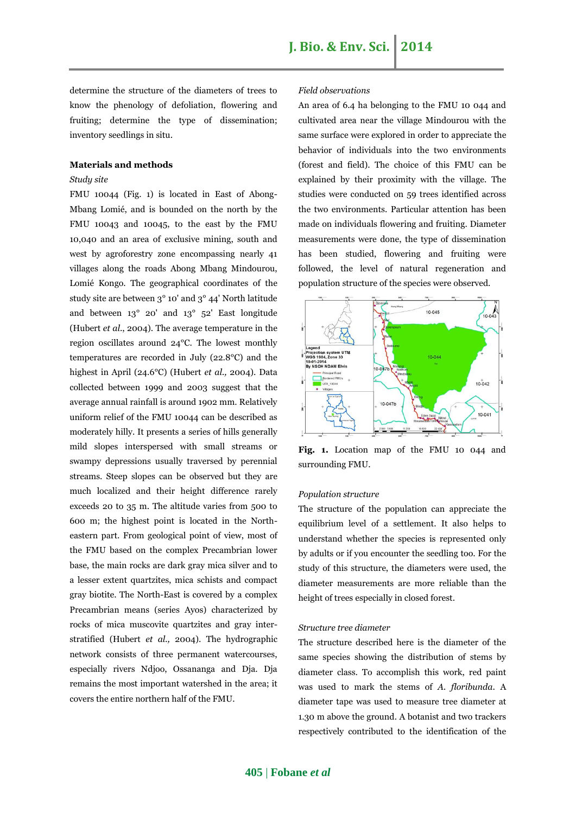determine the structure of the diameters of trees to know the phenology of defoliation, flowering and fruiting; determine the type of dissemination; inventory seedlings in situ.

# **Materials and methods**

# *Study site*

FMU 10044 (Fig. 1) is located in East of Abong-Mbang Lomié, and is bounded on the north by the FMU 10043 and 10045, to the east by the FMU 10,040 and an area of exclusive mining, south and west by agroforestry zone encompassing nearly 41 villages along the roads Abong Mbang Mindourou, Lomié Kongo. The geographical coordinates of the study site are between 3° 10' and 3° 44' North latitude and between 13° 20' and 13° 52' East longitude (Hubert *et al*., 2004). The average temperature in the region oscillates around 24°C. The lowest monthly temperatures are recorded in July (22.8°C) and the highest in April (24.6°C) (Hubert *et al.,* 2004). Data collected between 1999 and 2003 suggest that the average annual rainfall is around 1902 mm. Relatively uniform relief of the FMU 10044 can be described as moderately hilly. It presents a series of hills generally mild slopes interspersed with small streams or swampy depressions usually traversed by perennial streams. Steep slopes can be observed but they are much localized and their height difference rarely exceeds 20 to 35 m. The altitude varies from 500 to 600 m; the highest point is located in the Northeastern part. From geological point of view, most of the FMU based on the complex Precambrian lower base, the main rocks are dark gray mica silver and to a lesser extent quartzites, mica schists and compact gray biotite. The North-East is covered by a complex Precambrian means (series Ayos) characterized by rocks of mica muscovite quartzites and gray interstratified (Hubert *et al.,* 2004). The hydrographic network consists of three permanent watercourses, especially rivers Ndjoo, Ossananga and Dja. Dja remains the most important watershed in the area; it covers the entire northern half of the FMU.

# *Field observations*

An area of 6.4 ha belonging to the FMU 10 044 and cultivated area near the village Mindourou with the same surface were explored in order to appreciate the behavior of individuals into the two environments (forest and field). The choice of this FMU can be explained by their proximity with the village. The studies were conducted on 59 trees identified across the two environments. Particular attention has been made on individuals flowering and fruiting. Diameter measurements were done, the type of dissemination has been studied, flowering and fruiting were followed, the level of natural regeneration and population structure of the species were observed.



**Fig. 1.** Location map of the FMU 10 044 and surrounding FMU.

#### *Population structure*

The structure of the population can appreciate the equilibrium level of a settlement. It also helps to understand whether the species is represented only by adults or if you encounter the seedling too. For the study of this structure, the diameters were used, the diameter measurements are more reliable than the height of trees especially in closed forest.

# *Structure tree diameter*

The structure described here is the diameter of the same species showing the distribution of stems by diameter class. To accomplish this work, red paint was used to mark the stems of *A. floribunda*. A diameter tape was used to measure tree diameter at 1.30 m above the ground. A botanist and two trackers respectively contributed to the identification of the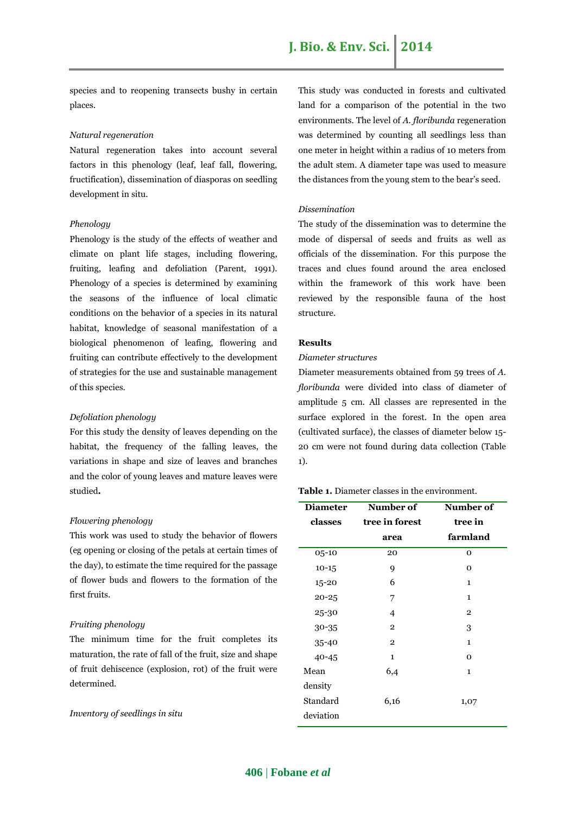species and to reopening transects bushy in certain places.

# *Natural regeneration*

Natural regeneration takes into account several factors in this phenology (leaf, leaf fall, flowering, fructification), dissemination of diasporas on seedling development in situ.

# *Phenology*

Phenology is the study of the effects of weather and climate on plant life stages, including flowering, fruiting, leafing and defoliation (Parent, 1991). Phenology of a species is determined by examining the seasons of the influence of local climatic conditions on the behavior of a species in its natural habitat, knowledge of seasonal manifestation of a biological phenomenon of leafing, flowering and fruiting can contribute effectively to the development of strategies for the use and sustainable management of this species.

# *Defoliation phenology*

For this study the density of leaves depending on the habitat, the frequency of the falling leaves, the variations in shape and size of leaves and branches and the color of young leaves and mature leaves were studied**.**

#### *Flowering phenology*

This work was used to study the behavior of flowers (eg opening or closing of the petals at certain times of the day), to estimate the time required for the passage of flower buds and flowers to the formation of the first fruits.

# *Fruiting phenology*

The minimum time for the fruit completes its maturation, the rate of fall of the fruit, size and shape of fruit dehiscence (explosion, rot) of the fruit were determined.

*Inventory of seedlings in situ*

This study was conducted in forests and cultivated land for a comparison of the potential in the two environments. The level of *A. floribunda* regeneration was determined by counting all seedlings less than one meter in height within a radius of 10 meters from the adult stem. A diameter tape was used to measure the distances from the young stem to the bear's seed.

# *Dissemination*

The study of the dissemination was to determine the mode of dispersal of seeds and fruits as well as officials of the dissemination. For this purpose the traces and clues found around the area enclosed within the framework of this work have been reviewed by the responsible fauna of the host structure.

# **Results**

# *Diameter structures*

Diameter measurements obtained from 59 trees of *A. floribunda* were divided into class of diameter of amplitude 5 cm. All classes are represented in the surface explored in the forest. In the open area (cultivated surface), the classes of diameter below 15- 20 cm were not found during data collection (Table 1).

# **Table 1.** Diameter classes in the environment.

| Number of      |
|----------------|
| tree in        |
| farmland       |
| 0              |
| $\Omega$       |
| 1              |
| $\mathbf{1}$   |
| $\overline{2}$ |
| 3              |
| 1              |
| $\Omega$       |
| $\mathbf{1}$   |
|                |
| 1,07           |
|                |
|                |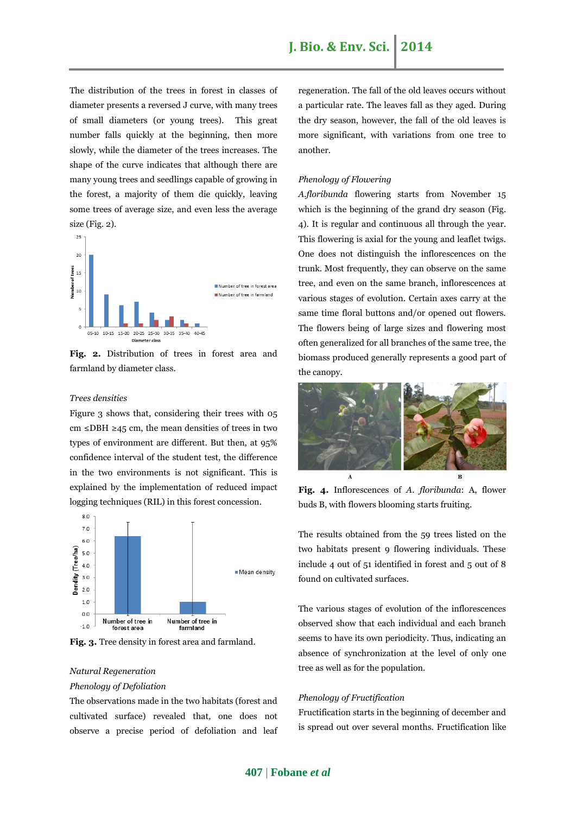The distribution of the trees in forest in classes of diameter presents a reversed J curve, with many trees of small diameters (or young trees). This great number falls quickly at the beginning, then more slowly, while the diameter of the trees increases. The shape of the curve indicates that although there are many young trees and seedlings capable of growing in the forest, a majority of them die quickly, leaving some trees of average size, and even less the average size (Fig. 2).



**Fig. 2.** Distribution of trees in forest area and farmland by diameter class.

# *Trees densities*

Figure 3 shows that, considering their trees with 05 cm ≤DBH ≥45 cm, the mean densities of trees in two types of environment are different. But then, at 95% confidence interval of the student test, the difference in the two environments is not significant. This is explained by the implementation of reduced impact logging techniques (RIL) in this forest concession.



**Fig. 3.** Tree density in forest area and farmland.

# *Natural Regeneration Phenology of Defoliation*

The observations made in the two habitats (forest and cultivated surface) revealed that*,* one does not observe a precise period of defoliation and leaf regeneration. The fall of the old leaves occurs without a particular rate. The leaves fall as they aged. During the dry season, however, the fall of the old leaves is more significant, with variations from one tree to another.

# *Phenology of Flowering*

*A.floribunda* flowering starts from November 15 which is the beginning of the grand dry season (Fig. 4). It is regular and continuous all through the year. This flowering is axial for the young and leaflet twigs. One does not distinguish the inflorescences on the trunk. Most frequently, they can observe on the same tree, and even on the same branch, inflorescences at various stages of evolution. Certain axes carry at the same time floral buttons and/or opened out flowers. The flowers being of large sizes and flowering most often generalized for all branches of the same tree, the biomass produced generally represents a good part of the canopy.



**Fig. 4.** Inflorescences of *A. floribunda*: A, flower buds B, with flowers blooming starts fruiting.

The results obtained from the 59 trees listed on the two habitats present 9 flowering individuals. These include 4 out of 51 identified in forest and 5 out of 8 found on cultivated surfaces.

The various stages of evolution of the inflorescences observed show that each individual and each branch seems to have its own periodicity. Thus, indicating an absence of synchronization at the level of only one tree as well as for the population.

# *Phenology of Fructification*

Fructification starts in the beginning of december and is spread out over several months. Fructification like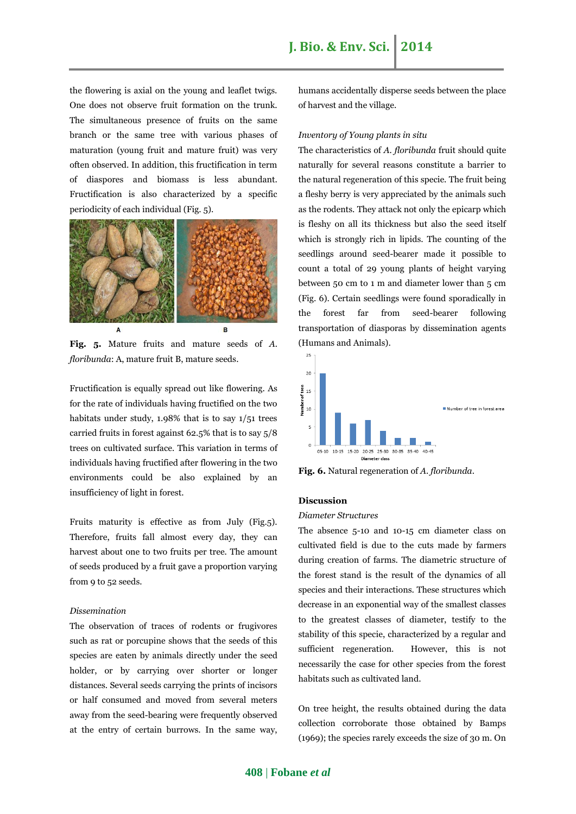the flowering is axial on the young and leaflet twigs. One does not observe fruit formation on the trunk. The simultaneous presence of fruits on the same branch or the same tree with various phases of maturation (young fruit and mature fruit) was very often observed. In addition, this fructification in term of diaspores and biomass is less abundant. Fructification is also characterized by a specific periodicity of each individual (Fig. 5).



**Fig. 5.** Mature fruits and mature seeds of *A. floribunda*: A, mature fruit B, mature seeds.

Fructification is equally spread out like flowering. As for the rate of individuals having fructified on the two habitats under study, 1.98% that is to say 1/51 trees carried fruits in forest against 62.5% that is to say 5/8 trees on cultivated surface. This variation in terms of individuals having fructified after flowering in the two environments could be also explained by an insufficiency of light in forest.

Fruits maturity is effective as from July (Fig.5). Therefore, fruits fall almost every day, they can harvest about one to two fruits per tree. The amount of seeds produced by a fruit gave a proportion varying from 9 to 52 seeds.

# *Dissemination*

The observation of traces of rodents or frugivores such as rat or porcupine shows that the seeds of this species are eaten by animals directly under the seed holder, or by carrying over shorter or longer distances. Several seeds carrying the prints of incisors or half consumed and moved from several meters away from the seed-bearing were frequently observed at the entry of certain burrows. In the same way, humans accidentally disperse seeds between the place of harvest and the village.

# *Inventory of Young plants in situ*

The characteristics of *A. floribunda* fruit should quite naturally for several reasons constitute a barrier to the natural regeneration of this specie. The fruit being a fleshy berry is very appreciated by the animals such as the rodents. They attack not only the epicarp which is fleshy on all its thickness but also the seed itself which is strongly rich in lipids. The counting of the seedlings around seed-bearer made it possible to count a total of 29 young plants of height varying between 50 cm to 1 m and diameter lower than 5 cm (Fig. 6). Certain seedlings were found sporadically in the forest far from seed-bearer following transportation of diasporas by dissemination agents (Humans and Animals).



**Fig. 6.** Natural regeneration of *A. floribunda.*

# **Discussion**

## *Diameter Structures*

The absence 5-10 and 10-15 cm diameter class on cultivated field is due to the cuts made by farmers during creation of farms. The diametric structure of the forest stand is the result of the dynamics of all species and their interactions. These structures which decrease in an exponential way of the smallest classes to the greatest classes of diameter, testify to the stability of this specie, characterized by a regular and sufficient regeneration. However, this is not necessarily the case for other species from the forest habitats such as cultivated land.

On tree height, the results obtained during the data collection corroborate those obtained by Bamps (1969); the species rarely exceeds the size of 30 m. On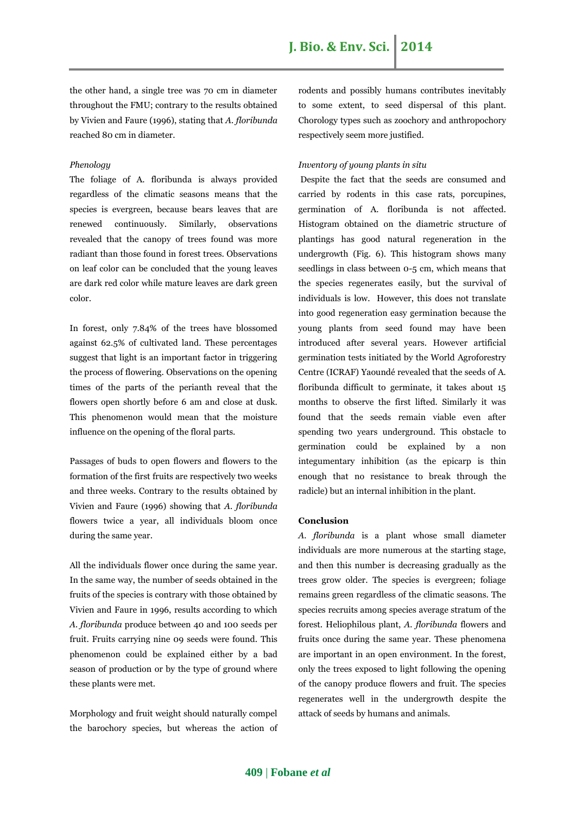the other hand, a single tree was 70 cm in diameter throughout the FMU; contrary to the results obtained by Vivien and Faure (1996), stating that *A. floribunda*  reached 80 cm in diameter.

# *Phenology*

The foliage of A. floribunda is always provided regardless of the climatic seasons means that the species is evergreen, because bears leaves that are renewed continuously. Similarly, observations revealed that the canopy of trees found was more radiant than those found in forest trees. Observations on leaf color can be concluded that the young leaves are dark red color while mature leaves are dark green color.

In forest, only 7.84% of the trees have blossomed against 62.5% of cultivated land. These percentages suggest that light is an important factor in triggering the process of flowering. Observations on the opening times of the parts of the perianth reveal that the flowers open shortly before 6 am and close at dusk. This phenomenon would mean that the moisture influence on the opening of the floral parts.

Passages of buds to open flowers and flowers to the formation of the first fruits are respectively two weeks and three weeks. Contrary to the results obtained by Vivien and Faure (1996) showing that *A. floribunda* flowers twice a year, all individuals bloom once during the same year.

All the individuals flower once during the same year. In the same way, the number of seeds obtained in the fruits of the species is contrary with those obtained by Vivien and Faure in 1996, results according to which *A. floribunda* produce between 40 and 100 seeds per fruit. Fruits carrying nine 09 seeds were found. This phenomenon could be explained either by a bad season of production or by the type of ground where these plants were met.

Morphology and fruit weight should naturally compel the barochory species, but whereas the action of rodents and possibly humans contributes inevitably to some extent, to seed dispersal of this plant. Chorology types such as zoochory and anthropochory respectively seem more justified.

# *Inventory of young plants in situ*

Despite the fact that the seeds are consumed and carried by rodents in this case rats, porcupines, germination of A. floribunda is not affected. Histogram obtained on the diametric structure of plantings has good natural regeneration in the undergrowth (Fig. 6). This histogram shows many seedlings in class between 0-5 cm, which means that the species regenerates easily, but the survival of individuals is low. However, this does not translate into good regeneration easy germination because the young plants from seed found may have been introduced after several years. However artificial germination tests initiated by the World Agroforestry Centre (ICRAF) Yaoundé revealed that the seeds of A. floribunda difficult to germinate, it takes about 15 months to observe the first lifted. Similarly it was found that the seeds remain viable even after spending two years underground. This obstacle to germination could be explained by a non integumentary inhibition (as the epicarp is thin enough that no resistance to break through the radicle) but an internal inhibition in the plant.

# **Conclusion**

*A. floribunda* is a plant whose small diameter individuals are more numerous at the starting stage, and then this number is decreasing gradually as the trees grow older. The species is evergreen; foliage remains green regardless of the climatic seasons. The species recruits among species average stratum of the forest. Heliophilous plant, *A. floribunda* flowers and fruits once during the same year. These phenomena are important in an open environment. In the forest, only the trees exposed to light following the opening of the canopy produce flowers and fruit. The species regenerates well in the undergrowth despite the attack of seeds by humans and animals.